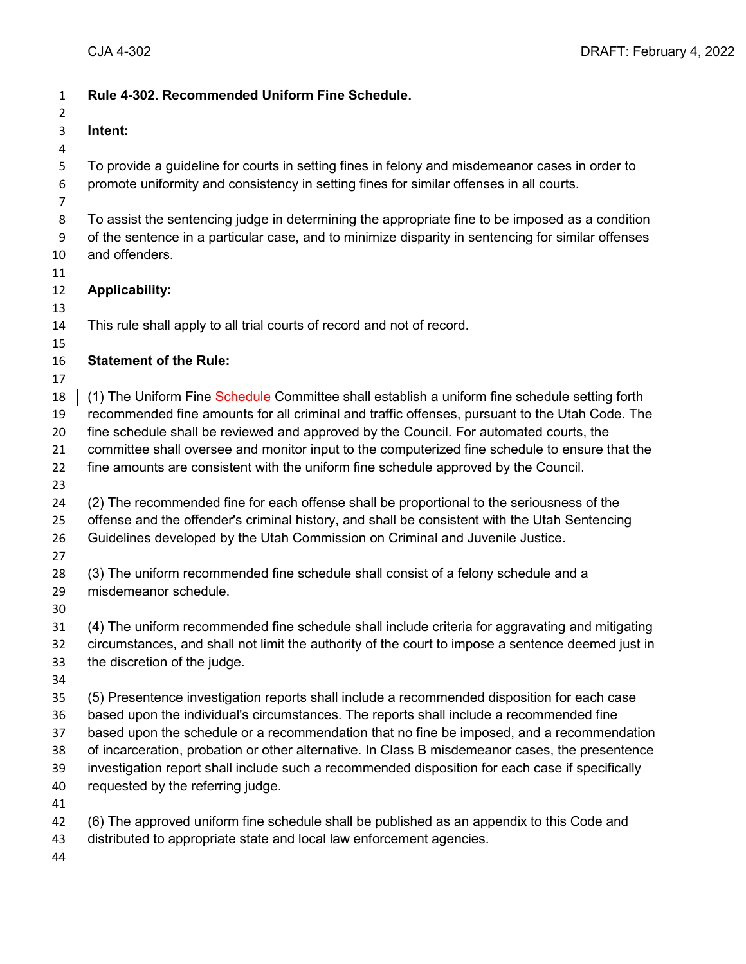| $\mathbf{1}$<br>$\overline{2}$          | Rule 4-302. Recommended Uniform Fine Schedule.                                                                                                                                                                                                                                                                                                                                                                                                                                                                                 |
|-----------------------------------------|--------------------------------------------------------------------------------------------------------------------------------------------------------------------------------------------------------------------------------------------------------------------------------------------------------------------------------------------------------------------------------------------------------------------------------------------------------------------------------------------------------------------------------|
| 3                                       | Intent:                                                                                                                                                                                                                                                                                                                                                                                                                                                                                                                        |
| 4                                       |                                                                                                                                                                                                                                                                                                                                                                                                                                                                                                                                |
| 5<br>$\boldsymbol{6}$<br>$\overline{7}$ | To provide a guideline for courts in setting fines in felony and misdemeanor cases in order to<br>promote uniformity and consistency in setting fines for similar offenses in all courts.                                                                                                                                                                                                                                                                                                                                      |
| 8<br>9<br>10                            | To assist the sentencing judge in determining the appropriate fine to be imposed as a condition<br>of the sentence in a particular case, and to minimize disparity in sentencing for similar offenses<br>and offenders.                                                                                                                                                                                                                                                                                                        |
| 11<br>12<br>13                          | <b>Applicability:</b>                                                                                                                                                                                                                                                                                                                                                                                                                                                                                                          |
| 14<br>15                                | This rule shall apply to all trial courts of record and not of record.                                                                                                                                                                                                                                                                                                                                                                                                                                                         |
| 16                                      | <b>Statement of the Rule:</b>                                                                                                                                                                                                                                                                                                                                                                                                                                                                                                  |
| 17<br>18<br>19<br>20<br>21              | (1) The Uniform Fine Schedule Committee shall establish a uniform fine schedule setting forth<br>recommended fine amounts for all criminal and traffic offenses, pursuant to the Utah Code. The<br>fine schedule shall be reviewed and approved by the Council. For automated courts, the<br>committee shall oversee and monitor input to the computerized fine schedule to ensure that the                                                                                                                                    |
| 22<br>23                                | fine amounts are consistent with the uniform fine schedule approved by the Council.                                                                                                                                                                                                                                                                                                                                                                                                                                            |
| 24<br>25<br>26<br>27                    | (2) The recommended fine for each offense shall be proportional to the seriousness of the<br>offense and the offender's criminal history, and shall be consistent with the Utah Sentencing<br>Guidelines developed by the Utah Commission on Criminal and Juvenile Justice.                                                                                                                                                                                                                                                    |
| 28<br>29<br>30                          | (3) The uniform recommended fine schedule shall consist of a felony schedule and a<br>misdemeanor schedule.                                                                                                                                                                                                                                                                                                                                                                                                                    |
| 31<br>32<br>33<br>34                    | (4) The uniform recommended fine schedule shall include criteria for aggravating and mitigating<br>circumstances, and shall not limit the authority of the court to impose a sentence deemed just in<br>the discretion of the judge.                                                                                                                                                                                                                                                                                           |
| 35<br>36<br>37<br>38<br>39<br>40        | (5) Presentence investigation reports shall include a recommended disposition for each case<br>based upon the individual's circumstances. The reports shall include a recommended fine<br>based upon the schedule or a recommendation that no fine be imposed, and a recommendation<br>of incarceration, probation or other alternative. In Class B misdemeanor cases, the presentence<br>investigation report shall include such a recommended disposition for each case if specifically<br>requested by the referring judge. |
| 41<br>42<br>43<br>44                    | (6) The approved uniform fine schedule shall be published as an appendix to this Code and<br>distributed to appropriate state and local law enforcement agencies.                                                                                                                                                                                                                                                                                                                                                              |